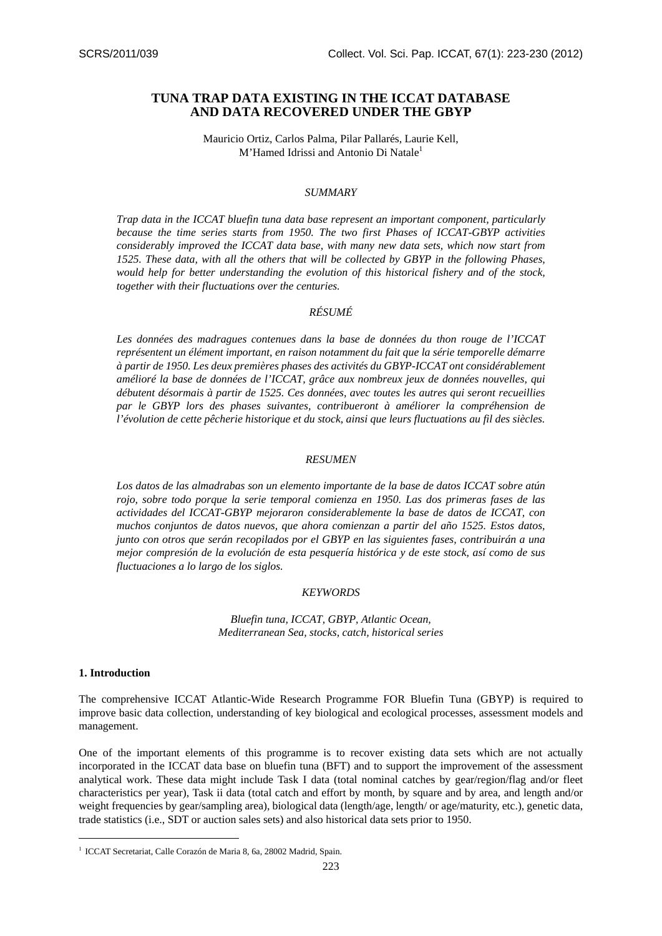# **TUNA TRAP DATA EXISTING IN THE ICCAT DATABASE AND DATA RECOVERED UNDER THE GBYP**

Mauricio Ortiz, Carlos Palma, Pilar Pallarés, Laurie Kell, M'Hamed Idrissi and Antonio Di Natale<sup>1</sup>

# *SUMMARY*

*Trap data in the ICCAT bluefin tuna data base represent an important component, particularly because the time series starts from 1950. The two first Phases of ICCAT-GBYP activities considerably improved the ICCAT data base, with many new data sets, which now start from 1525. These data, with all the others that will be collected by GBYP in the following Phases, would help for better understanding the evolution of this historical fishery and of the stock, together with their fluctuations over the centuries.* 

#### *RÉSUMÉ*

*Les données des madragues contenues dans la base de données du thon rouge de l'ICCAT représentent un élément important, en raison notamment du fait que la série temporelle démarre à partir de 1950. Les deux premières phases des activités du GBYP-ICCAT ont considérablement amélioré la base de données de l'ICCAT, grâce aux nombreux jeux de données nouvelles, qui débutent désormais à partir de 1525. Ces données, avec toutes les autres qui seront recueillies par le GBYP lors des phases suivantes, contribueront à améliorer la compréhension de l'évolution de cette pêcherie historique et du stock, ainsi que leurs fluctuations au fil des siècles.* 

#### *RESUMEN*

*Los datos de las almadrabas son un elemento importante de la base de datos ICCAT sobre atún rojo, sobre todo porque la serie temporal comienza en 1950. Las dos primeras fases de las actividades del ICCAT-GBYP mejoraron considerablemente la base de datos de ICCAT, con muchos conjuntos de datos nuevos, que ahora comienzan a partir del año 1525. Estos datos, junto con otros que serán recopilados por el GBYP en las siguientes fases, contribuirán a una mejor compresión de la evolución de esta pesquería histórica y de este stock, así como de sus fluctuaciones a lo largo de los siglos.* 

# *KEYWORDS*

*Bluefin tuna, ICCAT, GBYP, Atlantic Ocean, Mediterranean Sea, stocks, catch, historical series* 

#### **1. Introduction**

-

The comprehensive ICCAT Atlantic-Wide Research Programme FOR Bluefin Tuna (GBYP) is required to improve basic data collection, understanding of key biological and ecological processes, assessment models and management.

One of the important elements of this programme is to recover existing data sets which are not actually incorporated in the ICCAT data base on bluefin tuna (BFT) and to support the improvement of the assessment analytical work. These data might include Task I data (total nominal catches by gear/region/flag and/or fleet characteristics per year), Task ii data (total catch and effort by month, by square and by area, and length and/or weight frequencies by gear/sampling area), biological data (length/age, length/ or age/maturity, etc.), genetic data, trade statistics (i.e., SDT or auction sales sets) and also historical data sets prior to 1950.

<sup>&</sup>lt;sup>1</sup> ICCAT Secretariat, Calle Corazón de Maria 8, 6a, 28002 Madrid, Spain.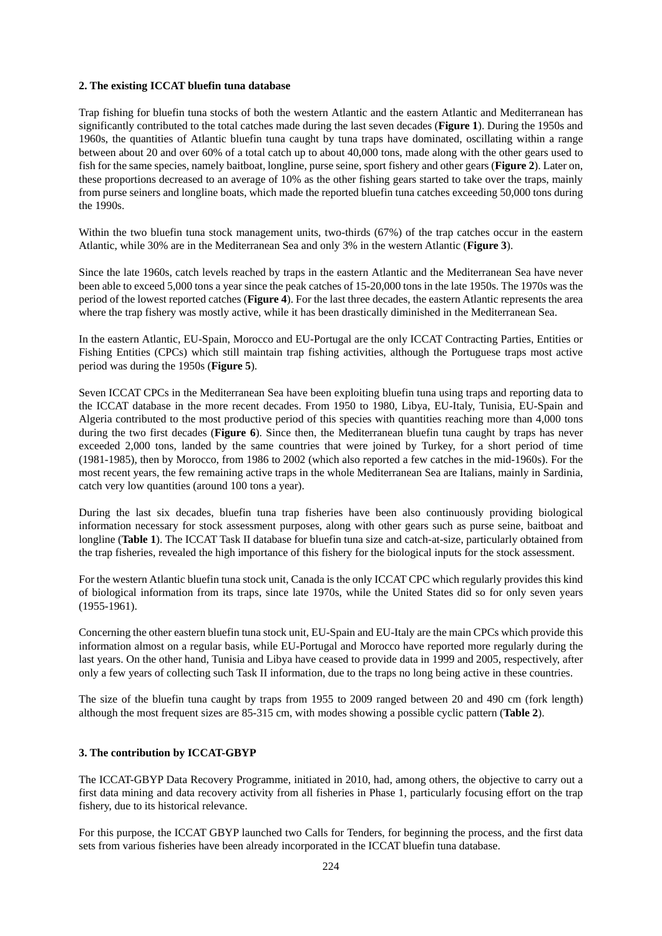#### **2. The existing ICCAT bluefin tuna database**

Trap fishing for bluefin tuna stocks of both the western Atlantic and the eastern Atlantic and Mediterranean has significantly contributed to the total catches made during the last seven decades (**Figure 1**). During the 1950s and 1960s, the quantities of Atlantic bluefin tuna caught by tuna traps have dominated, oscillating within a range between about 20 and over 60% of a total catch up to about 40,000 tons, made along with the other gears used to fish for the same species, namely baitboat, longline, purse seine, sport fishery and other gears (**Figure 2**). Later on, these proportions decreased to an average of 10% as the other fishing gears started to take over the traps, mainly from purse seiners and longline boats, which made the reported bluefin tuna catches exceeding 50,000 tons during the 1990s.

Within the two bluefin tuna stock management units, two-thirds (67%) of the trap catches occur in the eastern Atlantic, while 30% are in the Mediterranean Sea and only 3% in the western Atlantic (**Figure 3**).

Since the late 1960s, catch levels reached by traps in the eastern Atlantic and the Mediterranean Sea have never been able to exceed 5,000 tons a year since the peak catches of 15-20,000 tons in the late 1950s. The 1970s was the period of the lowest reported catches (**Figure 4**). For the last three decades, the eastern Atlantic represents the area where the trap fishery was mostly active, while it has been drastically diminished in the Mediterranean Sea.

In the eastern Atlantic, EU-Spain, Morocco and EU-Portugal are the only ICCAT Contracting Parties, Entities or Fishing Entities (CPCs) which still maintain trap fishing activities, although the Portuguese traps most active period was during the 1950s (**Figure 5**).

Seven ICCAT CPCs in the Mediterranean Sea have been exploiting bluefin tuna using traps and reporting data to the ICCAT database in the more recent decades. From 1950 to 1980, Libya, EU-Italy, Tunisia, EU-Spain and Algeria contributed to the most productive period of this species with quantities reaching more than 4,000 tons during the two first decades (**Figure 6**). Since then, the Mediterranean bluefin tuna caught by traps has never exceeded 2,000 tons, landed by the same countries that were joined by Turkey, for a short period of time (1981-1985), then by Morocco, from 1986 to 2002 (which also reported a few catches in the mid-1960s). For the most recent years, the few remaining active traps in the whole Mediterranean Sea are Italians, mainly in Sardinia, catch very low quantities (around 100 tons a year).

During the last six decades, bluefin tuna trap fisheries have been also continuously providing biological information necessary for stock assessment purposes, along with other gears such as purse seine, baitboat and longline (**Table 1**). The ICCAT Task II database for bluefin tuna size and catch-at-size, particularly obtained from the trap fisheries, revealed the high importance of this fishery for the biological inputs for the stock assessment.

For the western Atlantic bluefin tuna stock unit, Canada is the only ICCAT CPC which regularly provides this kind of biological information from its traps, since late 1970s, while the United States did so for only seven years (1955-1961).

Concerning the other eastern bluefin tuna stock unit, EU-Spain and EU-Italy are the main CPCs which provide this information almost on a regular basis, while EU-Portugal and Morocco have reported more regularly during the last years. On the other hand, Tunisia and Libya have ceased to provide data in 1999 and 2005, respectively, after only a few years of collecting such Task II information, due to the traps no long being active in these countries.

The size of the bluefin tuna caught by traps from 1955 to 2009 ranged between 20 and 490 cm (fork length) although the most frequent sizes are 85-315 cm, with modes showing a possible cyclic pattern (**Table 2**).

# **3. The contribution by ICCAT-GBYP**

The ICCAT-GBYP Data Recovery Programme, initiated in 2010, had, among others, the objective to carry out a first data mining and data recovery activity from all fisheries in Phase 1, particularly focusing effort on the trap fishery, due to its historical relevance.

For this purpose, the ICCAT GBYP launched two Calls for Tenders, for beginning the process, and the first data sets from various fisheries have been already incorporated in the ICCAT bluefin tuna database.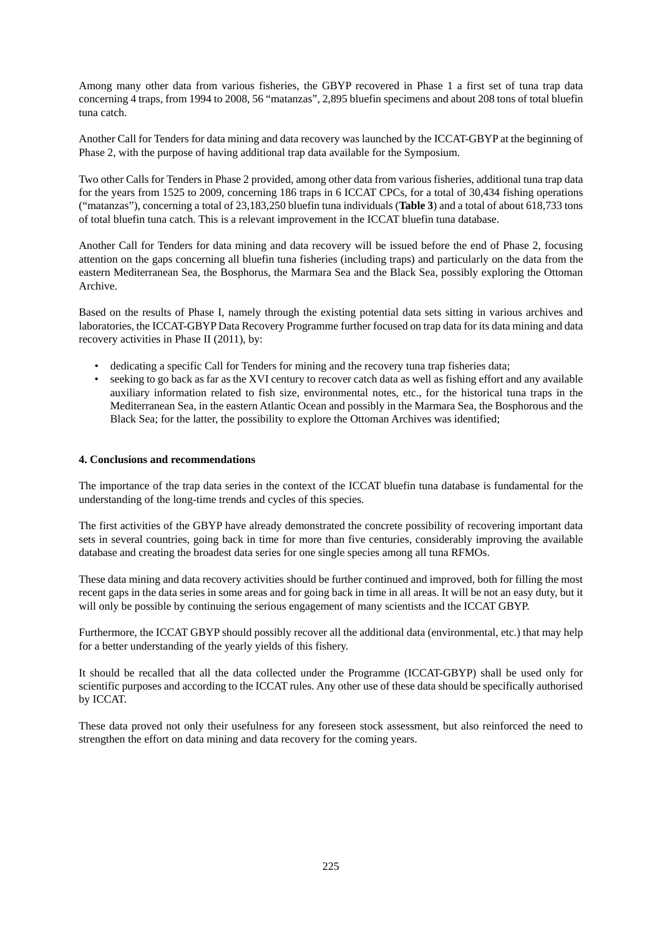Among many other data from various fisheries, the GBYP recovered in Phase 1 a first set of tuna trap data concerning 4 traps, from 1994 to 2008, 56 "matanzas", 2,895 bluefin specimens and about 208 tons of total bluefin tuna catch.

Another Call for Tenders for data mining and data recovery was launched by the ICCAT-GBYP at the beginning of Phase 2, with the purpose of having additional trap data available for the Symposium.

Two other Calls for Tenders in Phase 2 provided, among other data from various fisheries, additional tuna trap data for the years from 1525 to 2009, concerning 186 traps in 6 ICCAT CPCs, for a total of 30,434 fishing operations ("matanzas"), concerning a total of 23,183,250 bluefin tuna individuals (**Table 3**) and a total of about 618,733 tons of total bluefin tuna catch. This is a relevant improvement in the ICCAT bluefin tuna database.

Another Call for Tenders for data mining and data recovery will be issued before the end of Phase 2, focusing attention on the gaps concerning all bluefin tuna fisheries (including traps) and particularly on the data from the eastern Mediterranean Sea, the Bosphorus, the Marmara Sea and the Black Sea, possibly exploring the Ottoman Archive.

Based on the results of Phase I, namely through the existing potential data sets sitting in various archives and laboratories, the ICCAT-GBYP Data Recovery Programme further focused on trap data for its data mining and data recovery activities in Phase II (2011), by:

- dedicating a specific Call for Tenders for mining and the recovery tuna trap fisheries data;
- seeking to go back as far as the XVI century to recover catch data as well as fishing effort and any available auxiliary information related to fish size, environmental notes, etc., for the historical tuna traps in the Mediterranean Sea, in the eastern Atlantic Ocean and possibly in the Marmara Sea, the Bosphorous and the Black Sea; for the latter, the possibility to explore the Ottoman Archives was identified;

# **4. Conclusions and recommendations**

The importance of the trap data series in the context of the ICCAT bluefin tuna database is fundamental for the understanding of the long-time trends and cycles of this species.

The first activities of the GBYP have already demonstrated the concrete possibility of recovering important data sets in several countries, going back in time for more than five centuries, considerably improving the available database and creating the broadest data series for one single species among all tuna RFMOs.

These data mining and data recovery activities should be further continued and improved, both for filling the most recent gaps in the data series in some areas and for going back in time in all areas. It will be not an easy duty, but it will only be possible by continuing the serious engagement of many scientists and the ICCAT GBYP.

Furthermore, the ICCAT GBYP should possibly recover all the additional data (environmental, etc.) that may help for a better understanding of the yearly yields of this fishery.

It should be recalled that all the data collected under the Programme (ICCAT-GBYP) shall be used only for scientific purposes and according to the ICCAT rules. Any other use of these data should be specifically authorised by ICCAT.

These data proved not only their usefulness for any foreseen stock assessment, but also reinforced the need to strengthen the effort on data mining and data recovery for the coming years.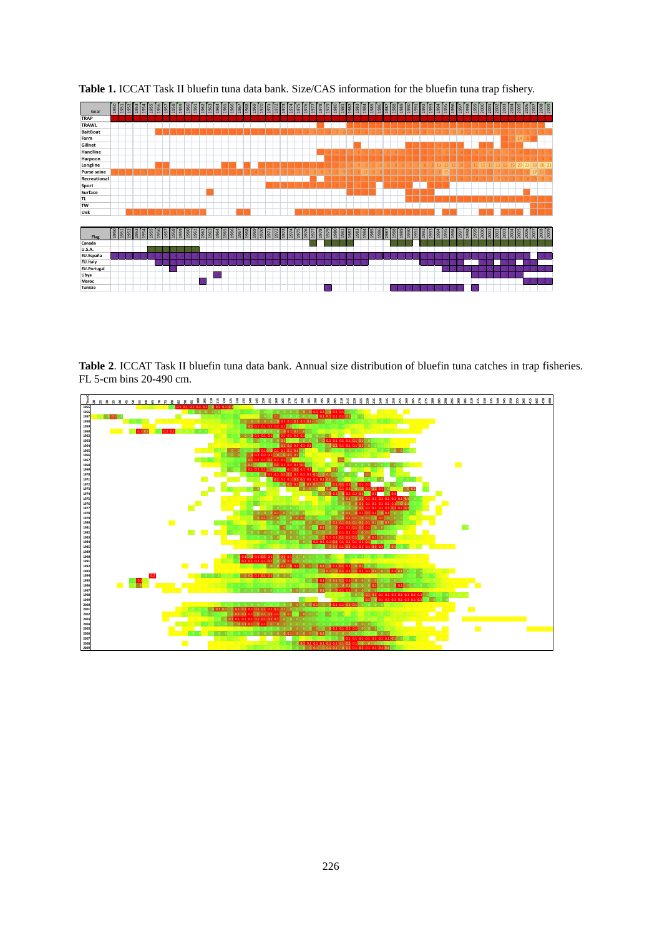

**Table 1.** ICCAT Task II bluefin tuna data bank. Size/CAS information for the bluefin tuna trap fishery.

**Table 2**. ICCAT Task II bluefin tuna data bank. Annual size distribution of bluefin tuna catches in trap fisheries. FL 5-cm bins 20-490 cm.

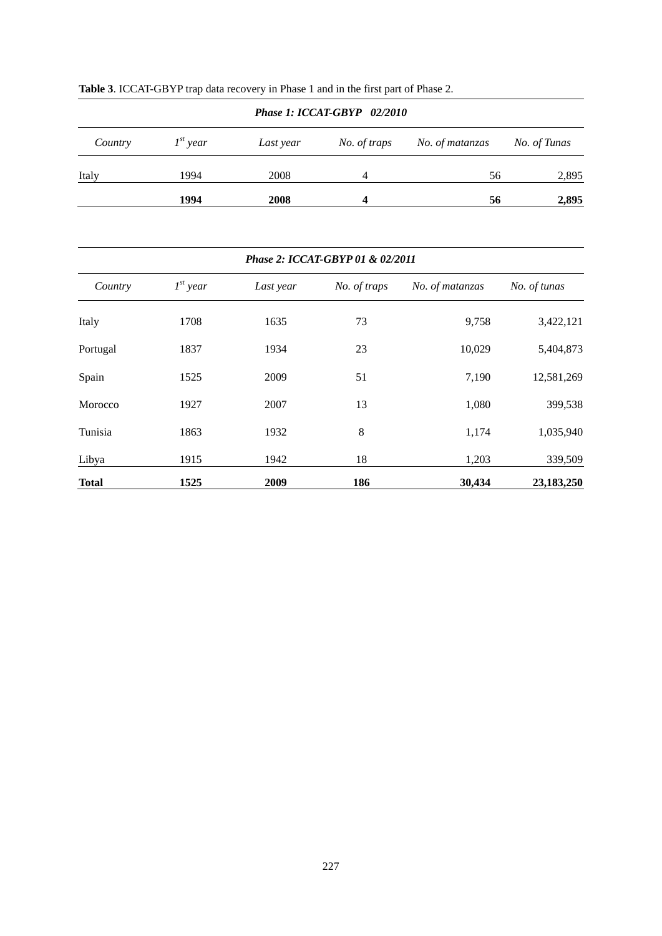| Phase 1: ICCAT-GBYP 02/2010 |               |           |              |                 |              |  |  |  |  |
|-----------------------------|---------------|-----------|--------------|-----------------|--------------|--|--|--|--|
| Country                     | $I^{st}$ year | Last year | No. of traps | No. of matanzas | No. of Tunas |  |  |  |  |
| Italy                       | 1994          | 2008      | 4            | 56              | 2,895        |  |  |  |  |
|                             | 1994          | 2008      | 4            | 56              | 2,895        |  |  |  |  |

| <b>Table 3.</b> ICCAT-GBYP trap data recovery in Phase 1 and in the first part of Phase 2. |  |  |
|--------------------------------------------------------------------------------------------|--|--|
|                                                                                            |  |  |

# *Phase 2: ICCAT-GBYP 01 & 02/2011*

| Country      | $I^{st}$ year | Last year | No. of traps | No. of matanzas | No. of tunas |
|--------------|---------------|-----------|--------------|-----------------|--------------|
| Italy        | 1708          | 1635      | 73           | 9,758           | 3,422,121    |
| Portugal     | 1837          | 1934      | 23           | 10,029          | 5,404,873    |
| Spain        | 1525          | 2009      | 51           | 7,190           | 12,581,269   |
| Morocco      | 1927          | 2007      | 13           | 1,080           | 399,538      |
| Tunisia      | 1863          | 1932      | 8            | 1,174           | 1,035,940    |
| Libya        | 1915          | 1942      | 18           | 1,203           | 339,509      |
| <b>Total</b> | 1525          | 2009      | 186          | 30,434          | 23,183,250   |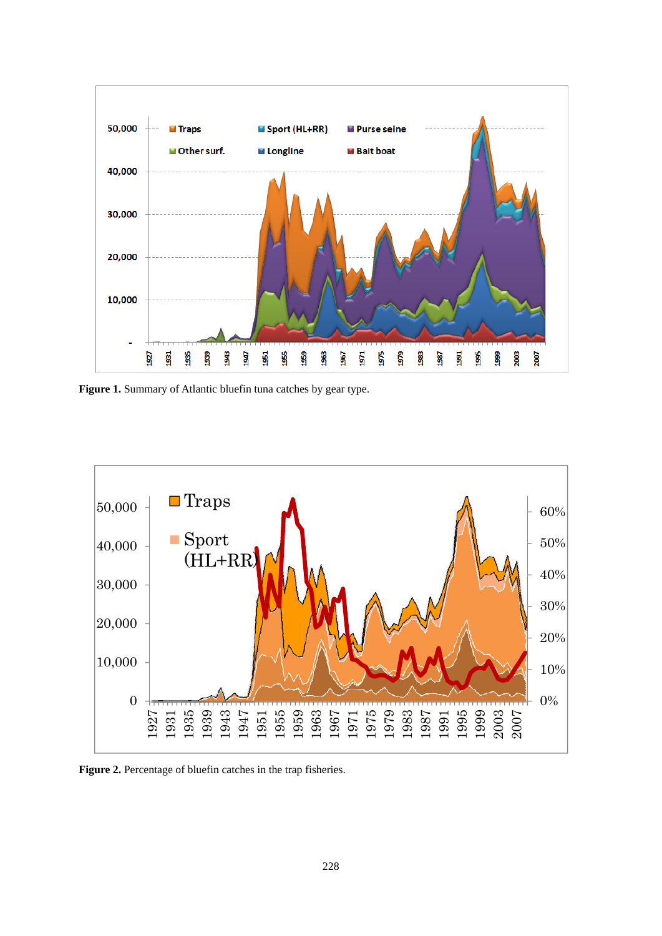

**Figure 1.** Summary of Atlantic bluefin tuna catches by gear type.



Figure 2. Percentage of bluefin catches in the trap fisheries.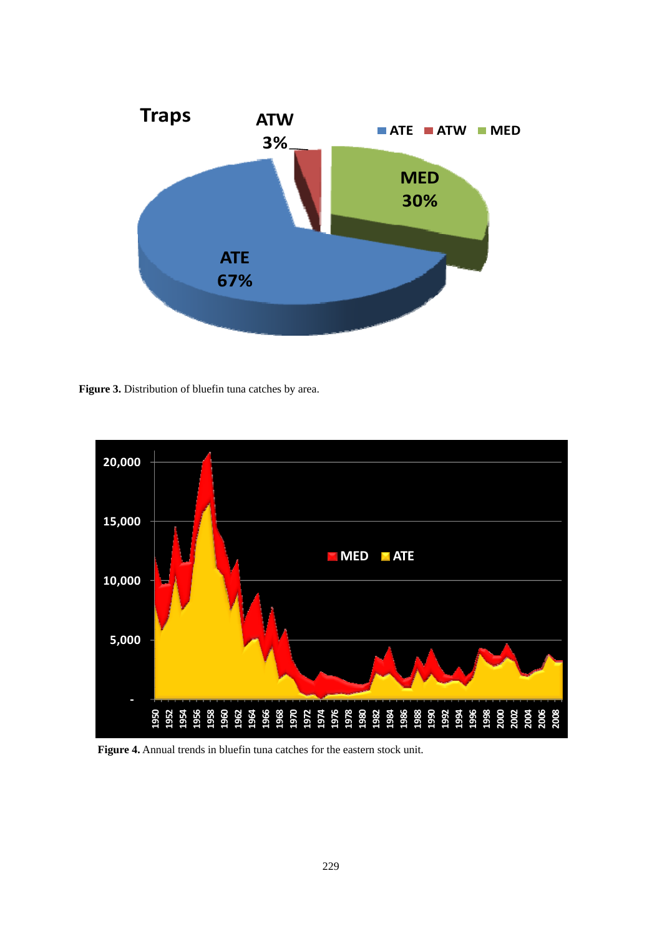

**Figure 3.** Distribution of bluefin tuna catches by area.



 **Figure 4.** Annual trends in bluefin tuna catches for the eastern stock unit.